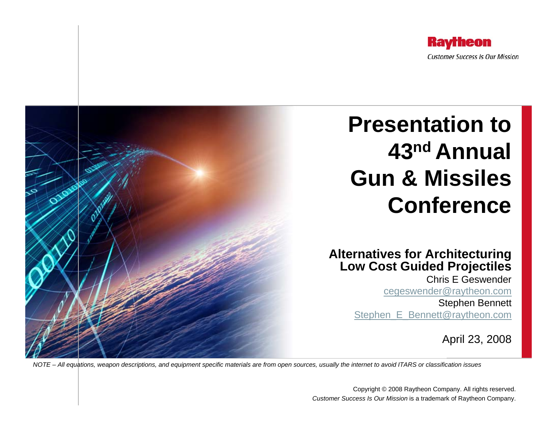

# **Presentation to 43nd Annual Gun & Missiles Conference**

#### **Alternatives for Architecturing Low Cost Guided Projectiles**

Chris E Geswender[cegeswender@raytheon.com](mailto:cegeswender@raytheon.com)

Stephen Bennett Stephen E\_Bennett@raytheon.com

April 23, 2008

*NOTE – All equations, weapon descriptions, and equipment specific materials are from open sources, usually the internet to avoid ITARS or classification issues*

Copyright © 2008 Raytheon Company. All rights reserved. *Customer Success Is Our Mission* is a trademark of Raytheon Company.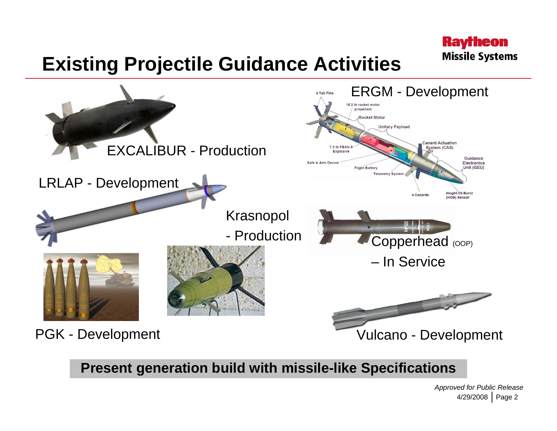### **Existing Projectile Guidance Activities**



**Present generation build with missile-like Specifications**

4/29/2008 | Page 2 *Approved for Public Release*

**Raytheon** 

**Missile Systems**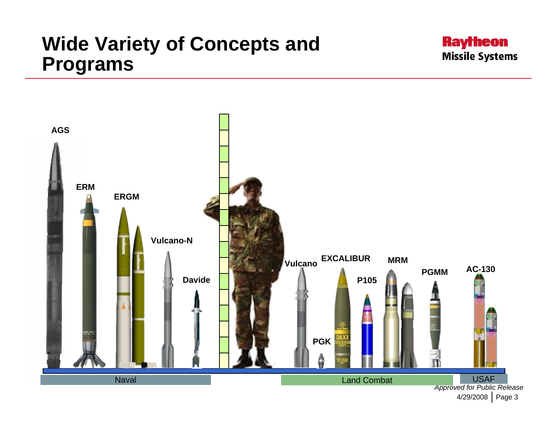### **Wide Variety of Concepts and Programs**



<sup>4/29/2008 |</sup> Page 3

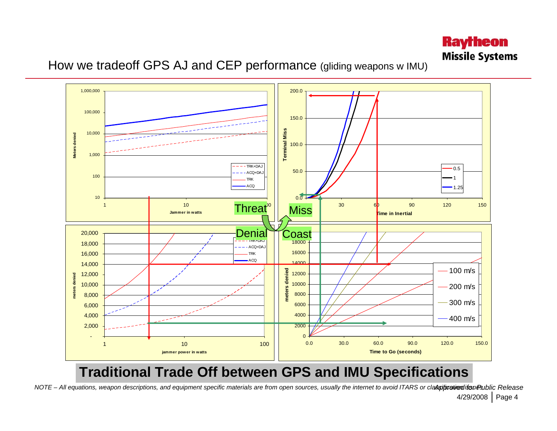

#### How we tradeoff GPS AJ and CEP performance (gliding weapons w IMU)



#### **Traditional Trade Off between GPS and IMU Specifications**

4/29/2008 | Page 4 NOTE – All equations, weapon descriptions, and equipment specific materials are from open sources, usually the internet to avoid ITARS or cla**spiproveni issu**ed in Release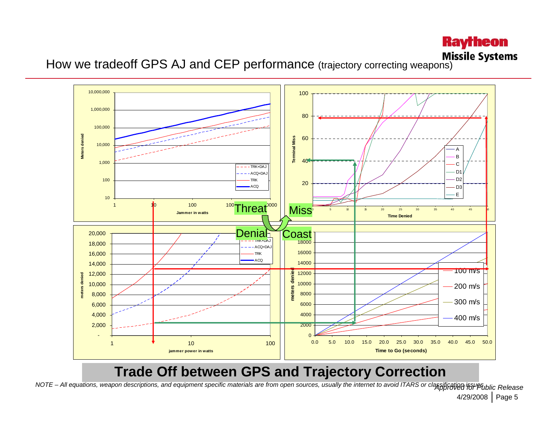# **Raytheon**

**How we tradeoff GPS AJ and CEP performance** (trajectory correcting weapons) **Missile Systems** 



#### **Trade Off between GPS and Trajectory Correction**

4/29/2008 | Page 5 NOTE – All equations, weapon descriptions, and equipment specific materials are from open sources, usually the internet to avoid ITARS or classification inPublic Release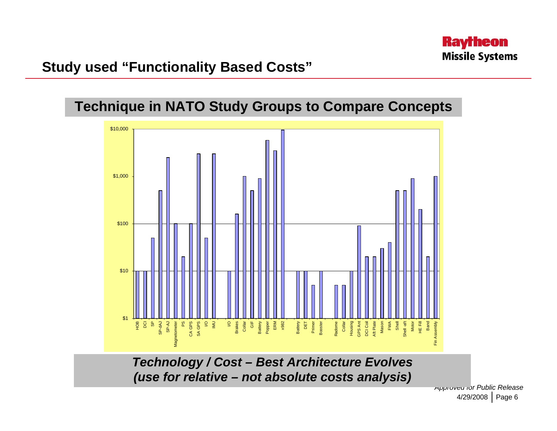

#### **Study used "Functionality Based Costs"**





*Technology / Cost – Best Architecture Evolves (use for relative – not absolute costs analysis)*

4/29/2008 | Page 6 *Approved for Public Release*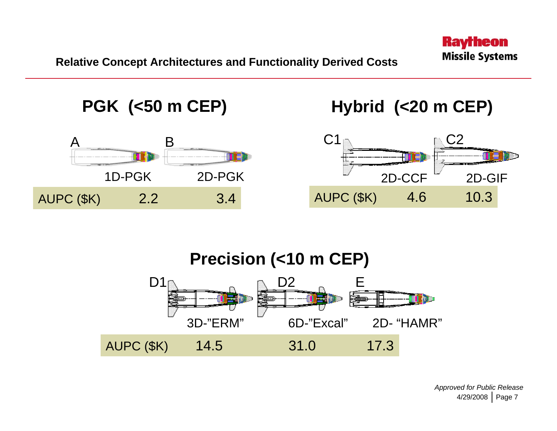



4/29/2008 | Page 7 *Approved for Public Release*

**Raytheon** 

**Missile Systems**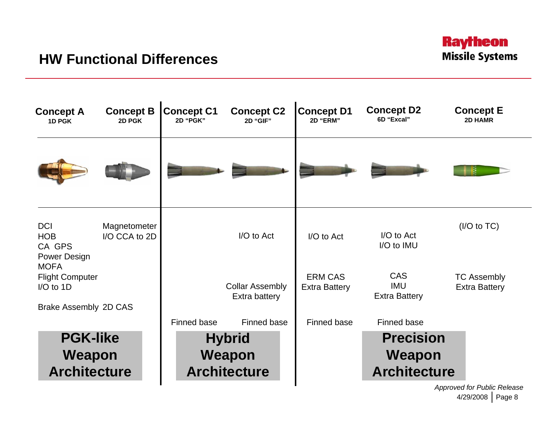

4/29/2008 | Page 8 *Approved for Public Release*

**Raytheon Missile Systems**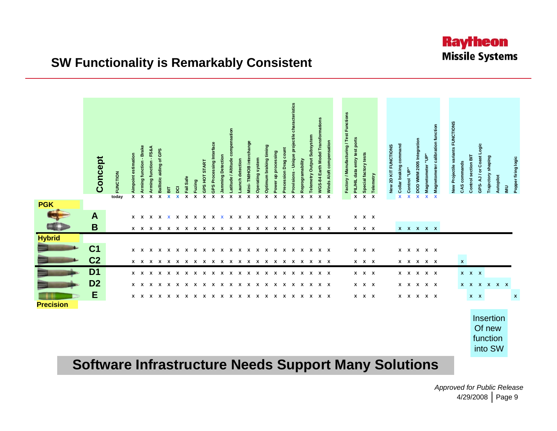

|                  | Concept        | <b>FUNCTION</b><br>today | Aimpoint estimation<br>x | Arming function - Brake<br>$\pmb{\chi}$ | Arming function - FS&A<br>$\boldsymbol{\mathsf{x}}$ | Ballistic aiding of GPS<br>$\boldsymbol{\mathsf{x}}$ | 듦<br>X | $\overline{8}$<br>$\boldsymbol{\mathsf{x}}$ | Fail Safe<br>$\pmb{\chi}$ | x Fuzing | X GPS HOT START | GPS Processing Interf<br>X | Jamming Detection<br>$\pmb{\chi}$ | mpensation<br>Latitude / Altitude co<br>$\boldsymbol{\mathsf{x}}$ | Launch detection<br>X | Mini-TM/HOB interchange<br>X | Operating system<br>X | Optimum braking timing<br>$\pmb{\chi}$ | Power up processing<br>$\boldsymbol{x}$ | <b>Precession Drag count</b><br>X | Provisions - Unique projectile characteristics<br>$\boldsymbol{\mathsf{x}}$ | Reprogramability<br>$\overline{\mathbf{x}}$ | Telemetry Output Subsystem<br>X | WGS-84 Earth Model Transformations<br>x | Winds Aloft compensation<br>$\boldsymbol{\mathsf{x}}$ | Factory / Manufacturing / Test Functions | PIL/HIL data entry test ports<br>X | Special factory tests<br>Telemetry<br>$\overline{\mathbf{x}}$<br>$\overline{\mathbf{x}}$ | New 2D KIT FUNCTIONS | Collar braking command<br>$\mathbf x$ | <b>× Control</b> "UP | X DOD WMM 2005 Integration | Magnetometer "UP"<br>$\mathbf{x}$ | Magnetometer calibration function<br>$\overline{\mathbf{x}}$ | New Projectile variants FUNCTIONS | CAS commands | Control section BIT | GPS-AJ/or Coast Logic                      | Trajectory shaping | Autopilot | $\overline{\mathbf{z}}$ | Popper firing logic |
|------------------|----------------|--------------------------|--------------------------|-----------------------------------------|-----------------------------------------------------|------------------------------------------------------|--------|---------------------------------------------|---------------------------|----------|-----------------|----------------------------|-----------------------------------|-------------------------------------------------------------------|-----------------------|------------------------------|-----------------------|----------------------------------------|-----------------------------------------|-----------------------------------|-----------------------------------------------------------------------------|---------------------------------------------|---------------------------------|-----------------------------------------|-------------------------------------------------------|------------------------------------------|------------------------------------|------------------------------------------------------------------------------------------|----------------------|---------------------------------------|----------------------|----------------------------|-----------------------------------|--------------------------------------------------------------|-----------------------------------|--------------|---------------------|--------------------------------------------|--------------------|-----------|-------------------------|---------------------|
| <b>PGK</b>       |                |                          |                          |                                         |                                                     |                                                      |        |                                             |                           |          |                 |                            |                                   |                                                                   |                       |                              |                       |                                        |                                         |                                   |                                                                             |                                             |                                 |                                         |                                                       |                                          |                                    |                                                                                          |                      |                                       |                      |                            |                                   |                                                              |                                   |              |                     |                                            |                    |           |                         |                     |
|                  | $\mathbf{A}$   |                          |                          |                                         |                                                     |                                                      |        |                                             |                           |          |                 |                            |                                   |                                                                   |                       |                              |                       |                                        |                                         |                                   |                                                                             |                                             |                                 |                                         |                                                       |                                          |                                    | $X$ $X$ $X$                                                                              |                      |                                       |                      |                            |                                   |                                                              |                                   |              |                     |                                            |                    |           |                         |                     |
|                  | B              |                          |                          |                                         |                                                     |                                                      |        |                                             |                           |          |                 |                            |                                   |                                                                   |                       |                              |                       |                                        |                                         |                                   |                                                                             |                                             |                                 |                                         |                                                       |                                          |                                    | $X$ $X$ $X$                                                                              |                      |                                       | $X$ $X$ $X$ $X$ $X$  |                            |                                   |                                                              |                                   |              |                     |                                            |                    |           |                         |                     |
| <b>Hybrid</b>    |                |                          |                          |                                         |                                                     |                                                      |        |                                             |                           |          |                 |                            |                                   |                                                                   |                       |                              |                       |                                        |                                         |                                   |                                                                             |                                             |                                 |                                         |                                                       |                                          |                                    |                                                                                          |                      |                                       |                      |                            |                                   |                                                              |                                   |              |                     |                                            |                    |           |                         |                     |
|                  | C <sub>1</sub> |                          |                          |                                         |                                                     |                                                      |        |                                             |                           |          |                 |                            |                                   |                                                                   |                       |                              |                       |                                        |                                         |                                   |                                                                             |                                             |                                 |                                         |                                                       |                                          |                                    | $X$ $X$ $X$                                                                              |                      |                                       | $X$ $X$ $X$ $X$ $X$  |                            |                                   |                                                              |                                   |              |                     |                                            |                    |           |                         |                     |
|                  | C <sub>2</sub> |                          |                          |                                         |                                                     |                                                      |        |                                             |                           |          |                 |                            |                                   |                                                                   |                       |                              |                       |                                        |                                         |                                   |                                                                             |                                             |                                 |                                         |                                                       |                                          |                                    | $X$ $X$ $X$                                                                              |                      |                                       | $X$ $X$ $X$ $X$ $X$  |                            |                                   |                                                              |                                   | $\mathbf{x}$ |                     |                                            |                    |           |                         |                     |
|                  | D <sub>1</sub> |                          |                          |                                         |                                                     |                                                      |        |                                             |                           |          |                 |                            |                                   |                                                                   |                       |                              |                       |                                        |                                         |                                   |                                                                             |                                             |                                 |                                         |                                                       |                                          |                                    | $X$ $X$ $X$                                                                              |                      |                                       | $X$ $X$ $X$ $X$ $X$  |                            |                                   |                                                              |                                   | $X$ $X$ $X$  |                     |                                            |                    |           |                         |                     |
|                  | D <sub>2</sub> |                          |                          |                                         |                                                     |                                                      |        |                                             |                           |          |                 |                            |                                   |                                                                   |                       |                              |                       |                                        |                                         |                                   |                                                                             |                                             |                                 |                                         |                                                       |                                          |                                    | $X$ $X$ $X$                                                                              |                      |                                       | $X$ $X$ $X$ $X$ $X$  |                            |                                   |                                                              |                                   |              |                     | x x x x x x                                |                    |           |                         |                     |
|                  | Е              |                          |                          |                                         |                                                     |                                                      |        |                                             |                           |          |                 |                            |                                   |                                                                   |                       |                              |                       |                                        |                                         |                                   |                                                                             |                                             |                                 |                                         |                                                       |                                          |                                    | $X$ $X$ $X$                                                                              |                      |                                       | $X$ $X$ $X$ $X$ $X$  |                            |                                   |                                                              |                                   |              | $X$ $X$             |                                            |                    |           |                         | $\boldsymbol{x}$    |
| <b>Precision</b> |                |                          |                          |                                         |                                                     |                                                      |        |                                             |                           |          |                 |                            |                                   |                                                                   |                       |                              |                       |                                        |                                         |                                   |                                                                             |                                             |                                 |                                         |                                                       |                                          |                                    |                                                                                          |                      |                                       |                      |                            |                                   |                                                              |                                   |              |                     |                                            |                    |           |                         |                     |
|                  |                |                          |                          |                                         |                                                     |                                                      |        |                                             |                           |          |                 |                            |                                   |                                                                   |                       |                              |                       |                                        |                                         |                                   |                                                                             |                                             |                                 |                                         |                                                       |                                          |                                    |                                                                                          |                      |                                       |                      |                            |                                   |                                                              |                                   |              |                     | Insertion<br>Of new<br>function<br>into SW |                    |           |                         |                     |

#### **Software Infrastructure Needs Support Many Solutions**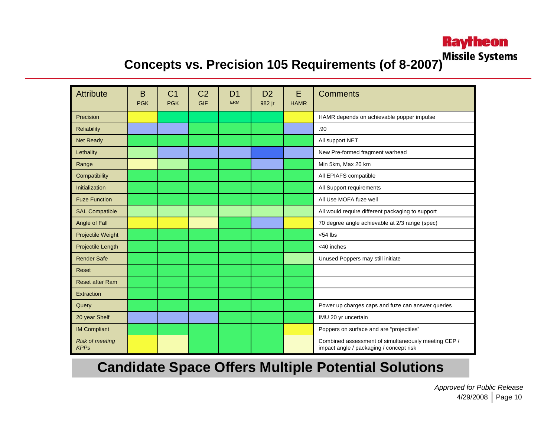## **Raytheon**

# **Concepts vs. Precision 105 Requirements (of 8-2007)** Missile Systems

| <b>Attribute</b>                      | B<br><b>PGK</b> | C <sub>1</sub><br><b>PGK</b> | C <sub>2</sub><br>GIF | D <sub>1</sub><br><b>ERM</b> | D <sub>2</sub><br>982 jr | E<br><b>HAMR</b> | <b>Comments</b>                                                                                |
|---------------------------------------|-----------------|------------------------------|-----------------------|------------------------------|--------------------------|------------------|------------------------------------------------------------------------------------------------|
| Precision                             |                 |                              |                       |                              |                          |                  | HAMR depends on achievable popper impulse                                                      |
| <b>Reliability</b>                    |                 |                              |                       |                              |                          |                  | .90                                                                                            |
| <b>Net Ready</b>                      |                 |                              |                       |                              |                          |                  | All support NET                                                                                |
| Lethality                             |                 |                              |                       |                              |                          |                  | New Pre-formed fragment warhead                                                                |
| Range                                 |                 |                              |                       |                              |                          |                  | Min 5km, Max 20 km                                                                             |
| Compatibility                         |                 |                              |                       |                              |                          |                  | All EPIAFS compatible                                                                          |
| Initialization                        |                 |                              |                       |                              |                          |                  | All Support requirements                                                                       |
| <b>Fuze Function</b>                  |                 |                              |                       |                              |                          |                  | All Use MOFA fuze well                                                                         |
| <b>SAL Compatible</b>                 |                 |                              |                       |                              |                          |                  | All would require different packaging to support                                               |
| Angle of Fall                         |                 |                              |                       |                              |                          |                  | 70 degree angle achievable at 2/3 range (spec)                                                 |
| Projectile Weight                     |                 |                              |                       |                              |                          |                  | $<$ 54 lbs                                                                                     |
| Projectile Length                     |                 |                              |                       |                              |                          |                  | <40 inches                                                                                     |
| <b>Render Safe</b>                    |                 |                              |                       |                              |                          |                  | Unused Poppers may still initiate                                                              |
| Reset                                 |                 |                              |                       |                              |                          |                  |                                                                                                |
| <b>Reset after Ram</b>                |                 |                              |                       |                              |                          |                  |                                                                                                |
| Extraction                            |                 |                              |                       |                              |                          |                  |                                                                                                |
| Query                                 |                 |                              |                       |                              |                          |                  | Power up charges caps and fuze can answer queries                                              |
| 20 year Shelf                         |                 |                              |                       |                              |                          |                  | IMU 20 yr uncertain                                                                            |
| <b>IM Compliant</b>                   |                 |                              |                       |                              |                          |                  | Poppers on surface and are "projectiles"                                                       |
| <b>Risk of meeting</b><br><b>KPPs</b> |                 |                              |                       |                              |                          |                  | Combined assessment of simultaneously meeting CEP /<br>impact angle / packaging / concept risk |

#### **Candidate Space Offers Multiple Potential Solutions**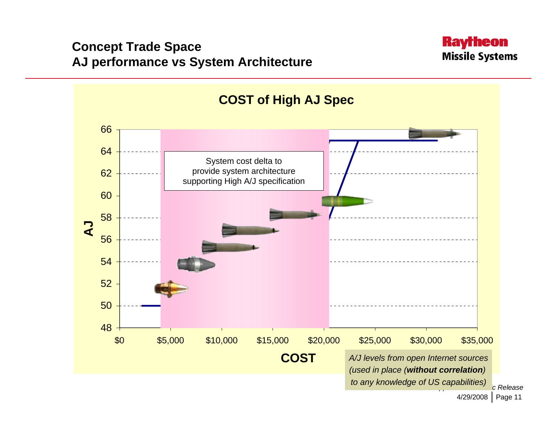#### **Concept Trade Space AJ performance vs System Architecture**



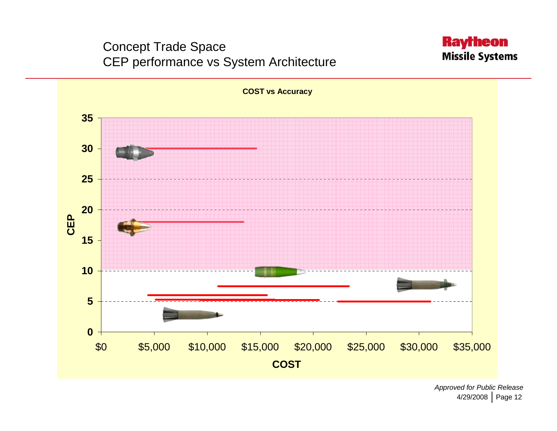#### Concept Trade Space CEP performance vs System Architecture



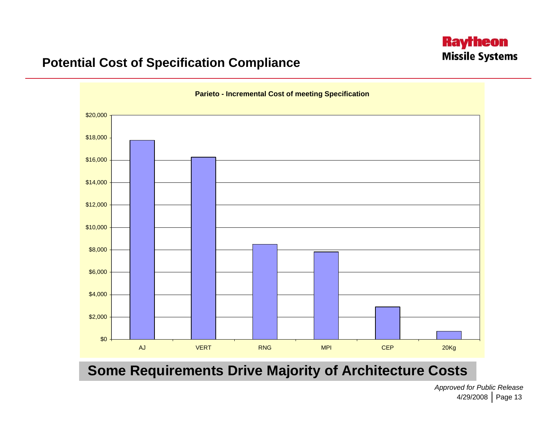#### **Raytheon Missile Systems**

#### **Potential Cost of Specification Compliance**



**Some Requirements Drive Majority of Architecture Costs**

4/29/2008 | Page 13 *Approved for Public Release*